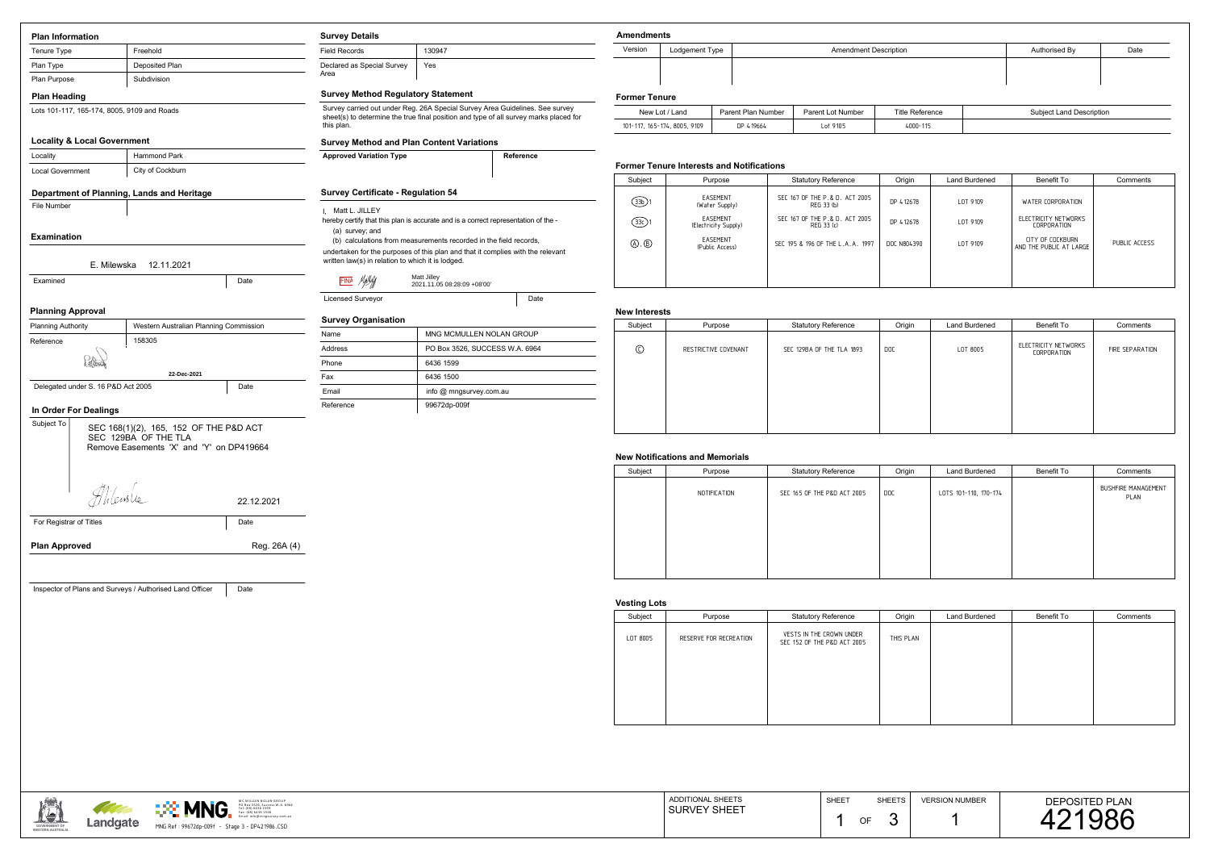**GOVERNMENT OFWESTERN AUSTRALIA**

# **Amendments**

| ıments         |                              |               |      |  |  |  |  |
|----------------|------------------------------|---------------|------|--|--|--|--|
| Lodgement Type | <b>Amendment Description</b> | Authorised By | Date |  |  |  |  |
|                |                              |               |      |  |  |  |  |
|                |                              |               |      |  |  |  |  |
| r Tenure       |                              |               |      |  |  |  |  |

|                | MC MULLEN NOLAN GROUP<br>'O Box 3526, Success W.A. 6964<br>el: (08) 6436 1599         | ADDITIONAL SHEETS   | <b>SHEET</b> | SHEETS        | <b>VERSION NUMBER</b> | <b>DEPOSITED PLAN</b> |
|----------------|---------------------------------------------------------------------------------------|---------------------|--------------|---------------|-----------------------|-----------------------|
| <b>AND AND</b> | <b>MNG</b><br>T T<br>ax: (08) 6436 1500<br><b>Contract Contract Contract Contract</b> | <b>SURVEY SHEET</b> |              | $\sim$ $\sim$ |                       | $\bigwedge$           |
| Landgate       | : 99672dp-009f<br>- Stage $3$ - DP421986.CSD<br>MNG Re                                |                     |              | ັ<br>. .      |                       | $\overline{1}$        |

## **Former Tenure Interests and Notifications**

### **New Notifications and Memorials**

### **Vesting Lots**

| New Lot / Land               | Parent Plan Number | Parent Lot Number | Title Reference | <b>Subiect Land Description</b> |
|------------------------------|--------------------|-------------------|-----------------|---------------------------------|
| 101-117, 165-174, 8005, 9109 | DP 419664          | Lot 9105          | 4000-115        |                                 |

| Tenure Type                                      |                                                                |                                           |                                                                                                                                                                       |                                                                                    |                      | <b>Amendments</b>                     |    |
|--------------------------------------------------|----------------------------------------------------------------|-------------------------------------------|-----------------------------------------------------------------------------------------------------------------------------------------------------------------------|------------------------------------------------------------------------------------|----------------------|---------------------------------------|----|
|                                                  | Freehold                                                       |                                           | <b>Field Records</b>                                                                                                                                                  | 130947                                                                             |                      | Version                               | L) |
| Plan Type                                        | Deposited Plan                                                 |                                           | Declared as Special Survey                                                                                                                                            | Yes                                                                                |                      |                                       |    |
| Plan Purpose                                     | Subdivision                                                    |                                           | Area                                                                                                                                                                  |                                                                                    |                      |                                       |    |
| <b>Plan Heading</b>                              |                                                                | <b>Survey Method Regulatory Statement</b> |                                                                                                                                                                       |                                                                                    | <b>Former Tenure</b> |                                       |    |
| Lots 101-117, 165-174, 8005, 9109 and Roads      |                                                                |                                           | Survey carried out under Reg. 26A Special Survey Area Guidelines. See survey<br>sheet(s) to determine the true final position and type of all survey marks placed for |                                                                                    | New Lot / L          |                                       |    |
|                                                  |                                                                |                                           | this plan.                                                                                                                                                            |                                                                                    |                      | 101-117, 165-174, 8                   |    |
| <b>Locality &amp; Local Government</b>           |                                                                |                                           | <b>Survey Method and Plan Content Variations</b>                                                                                                                      |                                                                                    |                      |                                       |    |
| Locality                                         | <b>Hammond Park</b>                                            |                                           | <b>Approved Variation Type</b>                                                                                                                                        |                                                                                    | Reference            |                                       |    |
| <b>Local Government</b>                          | City of Cockburn                                               |                                           |                                                                                                                                                                       |                                                                                    |                      | <b>Former Tenure</b><br>Subject       |    |
| Department of Planning, Lands and Heritage       |                                                                |                                           | <b>Survey Certificate - Regulation 54</b>                                                                                                                             |                                                                                    |                      |                                       |    |
| File Number                                      |                                                                |                                           | I. Matt L. JILLEY                                                                                                                                                     |                                                                                    |                      | (33b)                                 |    |
|                                                  |                                                                |                                           |                                                                                                                                                                       | hereby certify that this plan is accurate and is a correct representation of the - |                      | (33c)                                 |    |
| <b>Examination</b>                               |                                                                |                                           | (a) survey; and                                                                                                                                                       | (b) calculations from measurements recorded in the field records,                  |                      |                                       |    |
|                                                  |                                                                |                                           |                                                                                                                                                                       | undertaken for the purposes of this plan and that it complies with the relevant    |                      | $\textcircled{A}$ , $\textcircled{B}$ |    |
| E. Milewska                                      | 12.11.2021                                                     |                                           | written law(s) in relation to which it is lodged.                                                                                                                     |                                                                                    |                      |                                       |    |
| Examined                                         |                                                                | Date                                      | FINA MWY                                                                                                                                                              | <b>Matt Jilley</b><br>2021.11.05 08:28:09 +08'00'                                  |                      |                                       |    |
|                                                  |                                                                |                                           | <b>Licensed Surveyor</b>                                                                                                                                              |                                                                                    | Date                 |                                       |    |
| <b>Planning Approval</b>                         |                                                                |                                           | <b>Survey Organisation</b>                                                                                                                                            |                                                                                    |                      | <b>New Interests</b>                  |    |
|                                                  | Western Australian Planning Commission                         |                                           |                                                                                                                                                                       |                                                                                    |                      | Subject                               |    |
|                                                  |                                                                |                                           |                                                                                                                                                                       |                                                                                    |                      |                                       |    |
| <b>Planning Authority</b><br>Reference<br>$\sim$ | 158305                                                         |                                           | Name                                                                                                                                                                  | MNG MCMULLEN NOLAN GROUP                                                           |                      |                                       |    |
|                                                  |                                                                |                                           | Address<br>Phone                                                                                                                                                      | PO Box 3526, SUCCESS W.A. 6964<br>6436 1599                                        |                      | $\circledcirc$                        |    |
|                                                  | 22-Dec-2021                                                    |                                           | Fax                                                                                                                                                                   | 6436 1500                                                                          |                      |                                       |    |
| Delegated under S. 16 P&D Act 2005               |                                                                | Date                                      | Email                                                                                                                                                                 | info @ mngsurvey.com.au                                                            |                      |                                       |    |
| In Order For Dealings<br>Subject To              | SEC 168(1)(2), 165, 152 OF THE P&D ACT<br>SEC 129BA OF THE TLA |                                           | Reference                                                                                                                                                             | 99672dp-009f                                                                       |                      |                                       |    |
| Milensle<br>For Registrar of Titles              | Remove Easements 'X' and 'Y' on DP419664                       | 22.12.2021<br>Date                        |                                                                                                                                                                       |                                                                                    |                      | <b>New Notificatio</b><br>Subject     |    |
|                                                  |                                                                |                                           |                                                                                                                                                                       |                                                                                    |                      |                                       |    |
| <b>Plan Approved</b>                             |                                                                | Reg. 26A (4)                              |                                                                                                                                                                       |                                                                                    |                      |                                       |    |
|                                                  |                                                                |                                           |                                                                                                                                                                       |                                                                                    |                      |                                       |    |
|                                                  | Inspector of Plans and Surveys / Authorised Land Officer       | Date                                      |                                                                                                                                                                       |                                                                                    |                      |                                       |    |
|                                                  |                                                                |                                           |                                                                                                                                                                       |                                                                                    |                      | <b>Vesting Lots</b>                   |    |
|                                                  |                                                                |                                           |                                                                                                                                                                       |                                                                                    |                      | Subject                               |    |
|                                                  |                                                                |                                           |                                                                                                                                                                       |                                                                                    |                      | LOT 8005                              |    |
|                                                  |                                                                |                                           |                                                                                                                                                                       |                                                                                    |                      |                                       |    |
|                                                  |                                                                |                                           |                                                                                                                                                                       |                                                                                    |                      |                                       |    |
|                                                  |                                                                |                                           |                                                                                                                                                                       |                                                                                    |                      |                                       |    |
|                                                  |                                                                |                                           |                                                                                                                                                                       |                                                                                    |                      |                                       |    |

| Subject  | Purpose                | <b>Statutory Reference</b>                              | Origin    | Land Burdened | Benefit To | Comments |
|----------|------------------------|---------------------------------------------------------|-----------|---------------|------------|----------|
| LOT 8005 | RESERVE FOR RECREATION | VESTS IN THE CROWN UNDER<br>SEC 152 OF THE P&D ACT 2005 | THIS PLAN |               |            |          |
|          |                        |                                                         |           |               |            |          |
|          |                        |                                                         |           |               |            |          |
|          |                        |                                                         |           |               |            |          |
|          |                        |                                                         |           |               |            |          |

| Subject | Purpose      | <b>Statutory Reference</b>  | Origin     | Land Burdened         | <b>Benefit To</b> | Comments                           |
|---------|--------------|-----------------------------|------------|-----------------------|-------------------|------------------------------------|
|         | NOTIFICATION | SEC 165 OF THE P&D ACT 2005 | <b>DOC</b> | LOTS 101-110, 170-174 |                   | <b>BUSHFIRE MANAGEMENT</b><br>PLAN |
|         |              |                             |            |                       |                   |                                    |
|         |              |                             |            |                       |                   |                                    |
|         |              |                             |            |                       |                   |                                    |

| ubject                         | Purpose                          | <b>Statutory Reference</b>                   | Origin      | Land Burdened | Benefit To                                  | Comments      |
|--------------------------------|----------------------------------|----------------------------------------------|-------------|---------------|---------------------------------------------|---------------|
| $\widehat{33b}$ 1              | EASEMENT<br>(Water Supply)       | SEC 167 OF THE P.& D. ACT 2005<br>REG 33 (b) | DP 412678   | LOT 9109      | WATER CORPORATION                           |               |
| $\widehat{33c}$                | EASEMENT<br>(Electricity Supply) | SEC 167 OF THE P.& D. ACT 2005<br>REG 33 (c) | DP 412678   | LOT 9109      | ELECTRICITY NETWORKS<br><b>CORPORATION</b>  |               |
| $\widehat{A}$ ), $\widehat{B}$ | EASEMENT<br>(Public Access)      | SEC 195 & 196 OF THE L.A.A. 1997             | DOC N804390 | LOT 9109      | CITY OF COCKBURN<br>AND THE PUBLIC AT LARGE | PUBLIC ACCESS |
|                                |                                  |                                              |             |               |                                             |               |
|                                |                                  |                                              |             |               |                                             |               |

| Subject | Purpose              | <b>Statutory Reference</b> | Origin     | Land Burdened | Benefit To                          | Comments        |
|---------|----------------------|----------------------------|------------|---------------|-------------------------------------|-----------------|
| $\odot$ | RESTRICTIVE COVENANT | SEC 129BA OF THE TLA 1893  | <b>DOC</b> | LOT 8005      | ELECTRICITY NETWORKS<br>CORPORATION | FIRE SEPARATION |
|         |                      |                            |            |               |                                     |                 |
|         |                      |                            |            |               |                                     |                 |
|         |                      |                            |            |               |                                     |                 |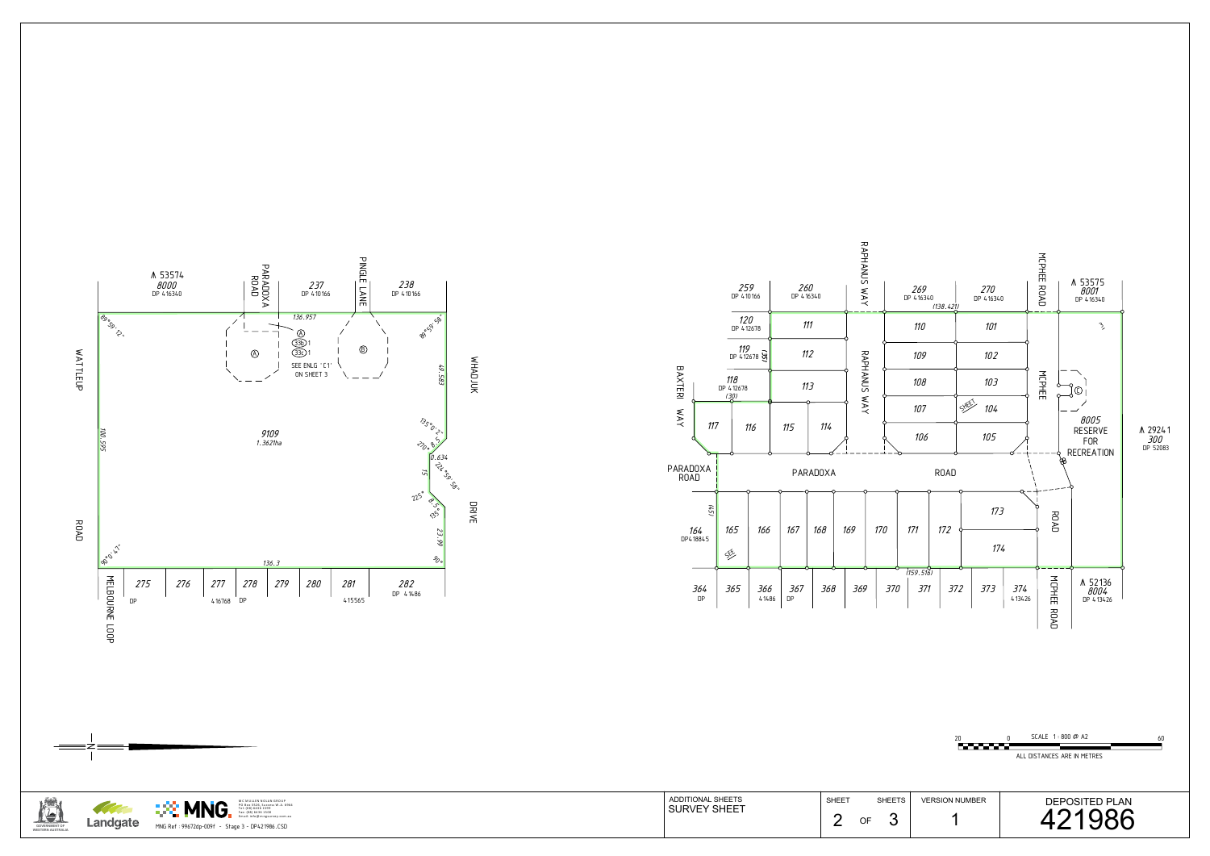**GOVERNMENT OFWESTERN AUSTRALIA**





MNG Ref : 99672dp-009f - Stage 3 - DP421986.CSD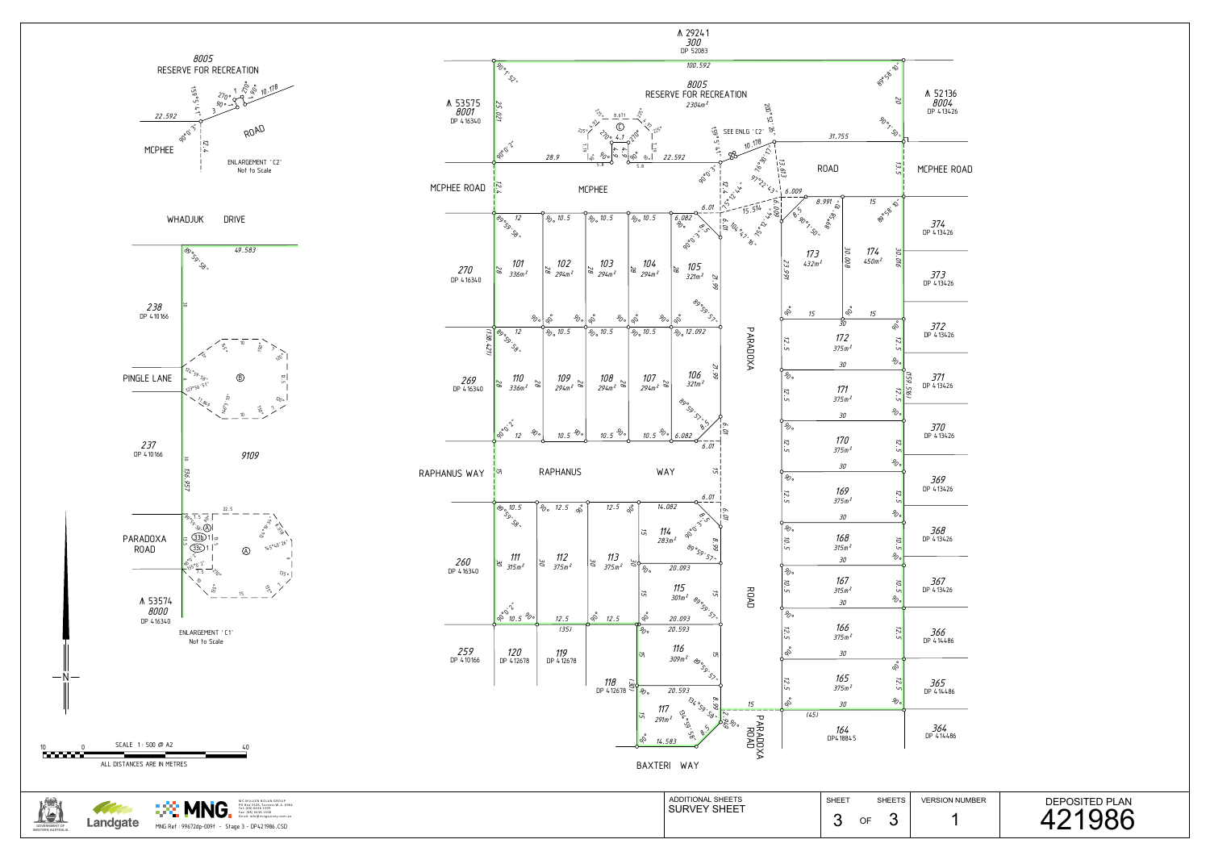| ₼ 29241<br>300<br>DP 52083                                                                                 |                                                                                                                                                                                                                                                                     |                                                                                                                                                                                       |                                                                                     |
|------------------------------------------------------------------------------------------------------------|---------------------------------------------------------------------------------------------------------------------------------------------------------------------------------------------------------------------------------------------------------------------|---------------------------------------------------------------------------------------------------------------------------------------------------------------------------------------|-------------------------------------------------------------------------------------|
| 100.592<br>8005<br>RESERVE FOR RECREATION<br>$2304m^2$<br>$n^{25}$                                         | 200°52'26"<br>SEE ENLG 'C2'                                                                                                                                                                                                                                         | 31.755                                                                                                                                                                                | Book in<br>A 52136<br>$\infty$<br>8004<br>DP 413426<br>$\frac{20}{7}$               |
| 159°5'4'<br>ြ<br>22.592<br>$\mathcal{D}_{\circ}$<br>5.8<br><b>Pool</b>                                     | 10.178<br>76°30' 77.1<br>88<br>$9)0000}$<br>12.4                                                                                                                                                                                                                    | $\overline{\omega}$<br><b>ROAD</b><br>.<br>Gl<br>6.009                                                                                                                                | 13.5<br>MCPHEE ROAD                                                                 |
| 6.01<br>, 10.5<br>$\frac{6.082}{8}$<br>ᢦ<br>90° 13'                                                        | 15.514<br>5.009<br>$\epsilon$ . Of<br>104° = 104° = 104° = 104° = 104° = 104° = 104° = 104° = 104° = 104° = 104° = 104° = 104° = 104° = 104° = 104° = 104° = 104° = 104° = 104° = 104° = 104° = 104° = 104° = 104° = 104° = 104° = 104° = 104° = 104° = 104° = 104° | $\overline{15}$<br>8.991<br>$\begin{aligned} \mathcal{B}_\mathcal{S}\bullet_{\mathsf{S}_{\mathcal{B}'}}\\ \mathcal{S}_\mathcal{B}\cdot\mathcal{D}_\alpha. \end{aligned}$<br>165000000 | <b>Book</b> 10.1<br>374<br>DP 413426                                                |
| 104<br>105<br>$\mathcal{B}$<br>$294m^2$<br>$321m^2$<br>21.99                                               |                                                                                                                                                                                                                                                                     | 174<br>30.008<br>173<br>450m <sup>2</sup><br>432m <sup>2</sup><br>23.991                                                                                                              | 30.016<br>373<br>DP 413426                                                          |
| <b>Book</b><br>Solena<br>$\mathcal{S}_{\!\!\mathcal{O}\,\mathtt{o}}$<br>$\infty$<br>, 10.5<br>80.12.092    | PARADOXA                                                                                                                                                                                                                                                            | နှ<br>$\phi^{\circ}$<br>15<br>15<br>$\breve{30}$<br>172<br>12.<br>$375m^2$<br>տ                                                                                                       | $\phi^{\circ}$<br>372<br>DP 413426<br>Ĩ2.<br>∽                                      |
| 21.99<br>$\frac{106}{321m^2}$<br>107<br>$294m^2$                                                           |                                                                                                                                                                                                                                                                     | $\mathcal{H}$<br>$\mathcal{S}_{\!\!\mathcal{O}\,\mathtt{o}}$<br>171<br>12.5<br>375m <sup>2</sup>                                                                                      | $\mathscr{D}$ 。<br>371<br><b>159.516</b><br>DP 413426<br>12.5                       |
| 80° 50' 57' 57'<br>$\frac{10.5}{5}$ $\frac{20}{5}$<br>6.082<br>$\overline{6.01}$                           | $\frac{\delta}{\delta}$                                                                                                                                                                                                                                             | $\ensuremath{\mathfrak{Z}}\ensuremath{\mathcal{O}}$<br>$\mathcal{S}_{\!\!\mathcal{O}\,\mathtt{o}}$<br>170<br>12.5<br>375m <sup>2</sup>                                                | $\mathscr{D}$ 。<br>$370$<br>DP 413426<br><b>12.5</b>                                |
| WAY<br>52<br>6.01<br>14.082                                                                                |                                                                                                                                                                                                                                                                     | $\ensuremath{\mathfrak{Z}}\ensuremath{\mathcal{O}}$<br>$\mathcal{L}_{\mathcal{O}\bullet}$<br>169<br>12.5<br>375m <sup>2</sup>                                                         | $\mathscr{D}_{\circ}$<br>369<br>DP 413426<br>12.5                                   |
| <b>Book</b> ity<br>$\frac{114}{283m^2}$<br>57<br>8.99<br>$\frac{\partial 9^{\circ}5^{\circ}}{2^{\circ}}$   | $\frac{6.01}{ }$                                                                                                                                                                                                                                                    | 30<br>$\mathcal{S}_{\!\!\mathcal{O}\,\mathtt{o}}$<br>168<br>10.5<br>315m <sup>2</sup><br>$\mathcal{Z}\mathcal{O}$                                                                     | $\mathscr{D}_{\circ}$<br>$368$<br>DP 413426<br>10.5<br>$\mathscr{D}_{\mathfrak{d}}$ |
| 20.093<br>$\mathcal{S}_{\!\!\mathcal{O}\,\mathtt{o}}$<br>115<br>51<br>301m <sup>2</sup><br>89.<br>So,<br>- | <b>ROAD</b>                                                                                                                                                                                                                                                         | $\mathcal{L}_{\mathcal{O}\,\mathtt{o}}$<br>167<br>îÓ.<br>315m <sup>2</sup><br>in<br>$\mathcal{Z}\mathcal{O}$                                                                          | 367<br>10.5<br>DP 413426<br>$\mathscr{D}_{\circ}$                                   |
| $\phi^{\circ}$<br>20.093<br>20.593<br>$\mathscr{D}_{\mathfrak{0}}$<br>116<br>57<br>309m <sup>2</sup>       |                                                                                                                                                                                                                                                                     | $\mathcal{S}_{\!\!\mathcal{O}\,\mathtt{o}}$<br>166<br>12.5<br>375m <sup>2</sup><br>$\phi^{\circ}$<br>$\mathcal{Z}\mathcal{O}$                                                         | <b>12.5</b><br>366<br>DP 414486                                                     |
| 89.00 - 59.00 - 1<br>20.593<br>$\mathscr{D}_{\bullet}$<br>$\frac{7}{56}$ $\frac{1}{56}$<br>117             | $15\overline{)}$                                                                                                                                                                                                                                                    | 165<br>12.5<br>375m <sup>2</sup><br>$\infty$<br>30                                                                                                                                    | $\mathring{\mathcal{S}}$<br>12.5<br>365<br>DP 414486<br>$\mathscr{D}_\bullet$       |
| <b>194</b> ° 59' 58' 1<br>$\tilde{5}$<br>$291m^2$<br>$\delta$ :<br>$\infty$<br>14.583<br>WAY<br>BAXTERI    | 15.348<br>PARADOXA<br><b>ROA</b>                                                                                                                                                                                                                                    | (45)<br>164<br>DP418845                                                                                                                                                               | $364$<br>DP 414486                                                                  |

**GOVERNMENT OFWESTERN AUSTRALIA**

| <b>AND AND A</b><br>Landgate | MC MULLEN NOLAN GROUP<br>R AR BA<br>O Box 3526, Success W.A. 6964<br><b>IMAN</b><br>x: (08) 6436 150<br><b>THILE</b><br>- Stage 3 - DP421986.CSD<br>MNG Ref: 99672dp-009f | <b>ADDITIONAL SHEETS</b><br>SURVEY SHEET | SHEE <sup>-</sup> | <b>SHEET</b><br>$\sim$ $\sim$ | <b>VERSION NUMBER</b> | <b>DEPOSITED PLAN</b> |
|------------------------------|---------------------------------------------------------------------------------------------------------------------------------------------------------------------------|------------------------------------------|-------------------|-------------------------------|-----------------------|-----------------------|
|                              |                                                                                                                                                                           |                                          |                   |                               |                       |                       |